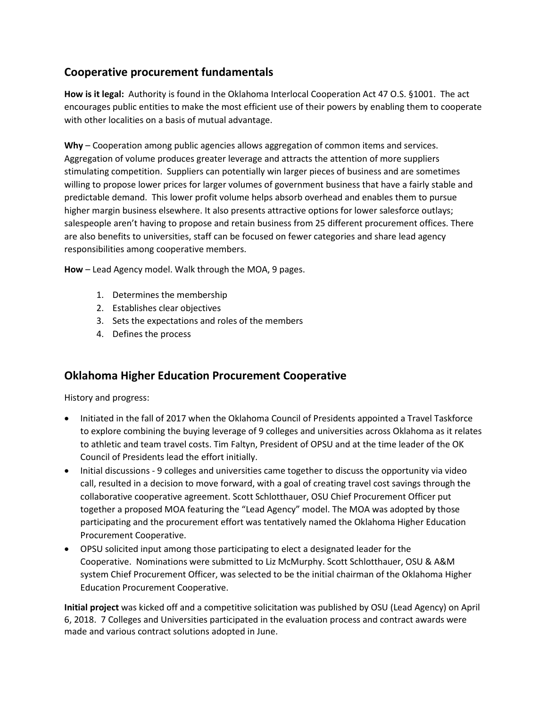## **Cooperative procurement fundamentals**

**How is it legal:** Authority is found in the Oklahoma Interlocal Cooperation Act 47 O.S. §1001. The act encourages public entities to make the most efficient use of their powers by enabling them to cooperate with other localities on a basis of mutual advantage.

**Why** – Cooperation among public agencies allows aggregation of common items and services. Aggregation of volume produces greater leverage and attracts the attention of more suppliers stimulating competition. Suppliers can potentially win larger pieces of business and are sometimes willing to propose lower prices for larger volumes of government business that have a fairly stable and predictable demand. This lower profit volume helps absorb overhead and enables them to pursue higher margin business elsewhere. It also presents attractive options for lower salesforce outlays; salespeople aren't having to propose and retain business from 25 different procurement offices. There are also benefits to universities, staff can be focused on fewer categories and share lead agency responsibilities among cooperative members.

**How** – Lead Agency model. Walk through the MOA, 9 pages.

- 1. Determines the membership
- 2. Establishes clear objectives
- 3. Sets the expectations and roles of the members
- 4. Defines the process

## **Oklahoma Higher Education Procurement Cooperative**

History and progress:

- Initiated in the fall of 2017 when the Oklahoma Council of Presidents appointed a Travel Taskforce to explore combining the buying leverage of 9 colleges and universities across Oklahoma as it relates to athletic and team travel costs. Tim Faltyn, President of OPSU and at the time leader of the OK Council of Presidents lead the effort initially.
- Initial discussions 9 colleges and universities came together to discuss the opportunity via video call, resulted in a decision to move forward, with a goal of creating travel cost savings through the collaborative cooperative agreement. Scott Schlotthauer, OSU Chief Procurement Officer put together a proposed MOA featuring the "Lead Agency" model. The MOA was adopted by those participating and the procurement effort was tentatively named the Oklahoma Higher Education Procurement Cooperative.
- OPSU solicited input among those participating to elect a designated leader for the Cooperative. Nominations were submitted to Liz McMurphy. Scott Schlotthauer, OSU & A&M system Chief Procurement Officer, was selected to be the initial chairman of the Oklahoma Higher Education Procurement Cooperative.

**Initial project** was kicked off and a competitive solicitation was published by OSU (Lead Agency) on April 6, 2018. 7 Colleges and Universities participated in the evaluation process and contract awards were made and various contract solutions adopted in June.